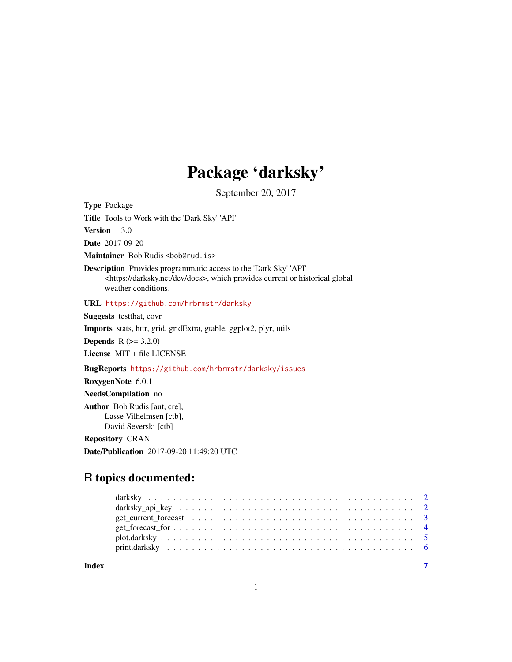# Package 'darksky'

September 20, 2017

Type Package

Title Tools to Work with the 'Dark Sky' 'API'

Version 1.3.0

Date 2017-09-20

Maintainer Bob Rudis <br/>bob@rud.is>

Description Provides programmatic access to the 'Dark Sky' 'API' <https://darksky.net/dev/docs>, which provides current or historical global weather conditions.

URL <https://github.com/hrbrmstr/darksky>

Suggests testthat, covr

Imports stats, httr, grid, gridExtra, gtable, ggplot2, plyr, utils

**Depends**  $R (= 3.2.0)$ 

License MIT + file LICENSE

BugReports <https://github.com/hrbrmstr/darksky/issues>

RoxygenNote 6.0.1

NeedsCompilation no

Author Bob Rudis [aut, cre], Lasse Vilhelmsen [ctb], David Severski [ctb]

Repository CRAN

Date/Publication 2017-09-20 11:49:20 UTC

## R topics documented:

| Index |  |
|-------|--|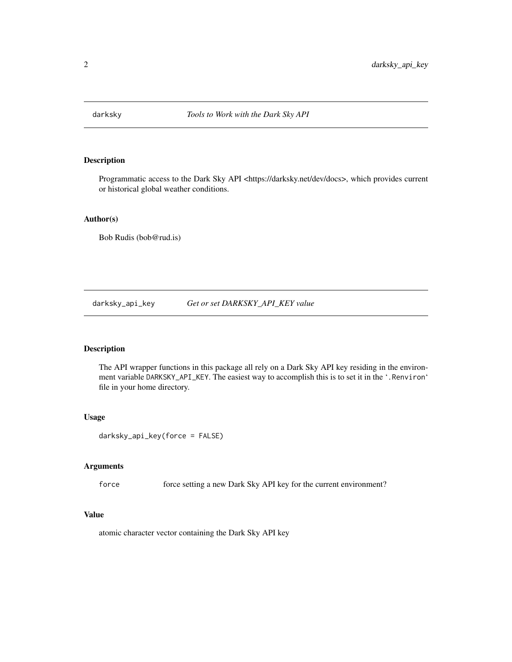<span id="page-1-0"></span>

#### Description

Programmatic access to the Dark Sky API <https://darksky.net/dev/docs>, which provides current or historical global weather conditions.

#### Author(s)

Bob Rudis (bob@rud.is)

darksky\_api\_key *Get or set DARKSKY\_API\_KEY value*

#### Description

The API wrapper functions in this package all rely on a Dark Sky API key residing in the environment variable DARKSKY\_API\_KEY. The easiest way to accomplish this is to set it in the '.Renviron' file in your home directory.

#### Usage

```
darksky_api_key(force = FALSE)
```
#### Arguments

force force setting a new Dark Sky API key for the current environment?

#### Value

atomic character vector containing the Dark Sky API key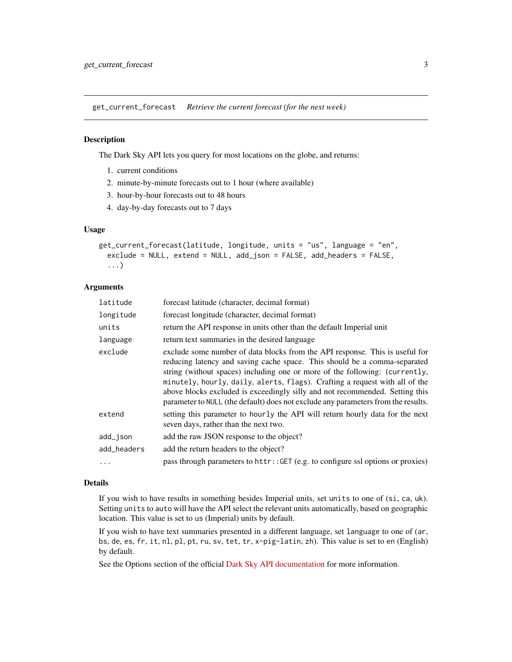<span id="page-2-0"></span>get\_current\_forecast *Retrieve the current forecast (for the next week)*

#### Description

The Dark Sky API lets you query for most locations on the globe, and returns:

- 1. current conditions
- 2. minute-by-minute forecasts out to 1 hour (where available)
- 3. hour-by-hour forecasts out to 48 hours
- 4. day-by-day forecasts out to 7 days

#### Usage

```
get_current_forecast(latitude, longitude, units = "us", language = "en",
  exclude = NULL, extend = NULL, add_json = FALSE, add_headers = FALSE,
  ...)
```
#### Arguments

| latitude    | forecast latitude (character, decimal format)                                                                                                                                                                                                                                                                                                                                                                                                                                                |
|-------------|----------------------------------------------------------------------------------------------------------------------------------------------------------------------------------------------------------------------------------------------------------------------------------------------------------------------------------------------------------------------------------------------------------------------------------------------------------------------------------------------|
| longitude   | forecast longitude (character, decimal format)                                                                                                                                                                                                                                                                                                                                                                                                                                               |
| units       | return the API response in units other than the default Imperial unit                                                                                                                                                                                                                                                                                                                                                                                                                        |
| language    | return text summaries in the desired language                                                                                                                                                                                                                                                                                                                                                                                                                                                |
| exclude     | exclude some number of data blocks from the API response. This is useful for<br>reducing latency and saving cache space. This should be a comma-separated<br>string (without spaces) including one or more of the following: (currently,<br>minutely, hourly, daily, alerts, flags). Crafting a request with all of the<br>above blocks excluded is exceedingly silly and not recommended. Setting this<br>parameter to NULL (the default) does not exclude any parameters from the results. |
| extend      | setting this parameter to hourly the API will return hourly data for the next<br>seven days, rather than the next two.                                                                                                                                                                                                                                                                                                                                                                       |
| add_json    | add the raw JSON response to the object?                                                                                                                                                                                                                                                                                                                                                                                                                                                     |
| add_headers | add the return headers to the object?                                                                                                                                                                                                                                                                                                                                                                                                                                                        |
|             | pass through parameters to httr:: GET (e.g. to configure ssl options or proxies)                                                                                                                                                                                                                                                                                                                                                                                                             |

#### Details

If you wish to have results in something besides Imperial units, set units to one of (si, ca, uk). Setting units to auto will have the API select the relevant units automatically, based on geographic location. This value is set to us (Imperial) units by default.

If you wish to have text summaries presented in a different language, set language to one of (ar, bs, de, es, fr, it, nl, pl, pt, ru, sv, tet, tr, x-pig-latin, zh). This value is set to en (English) by default.

See the Options section of the official [Dark Sky API documentation](https://darksky.net/dev/docs) for more information.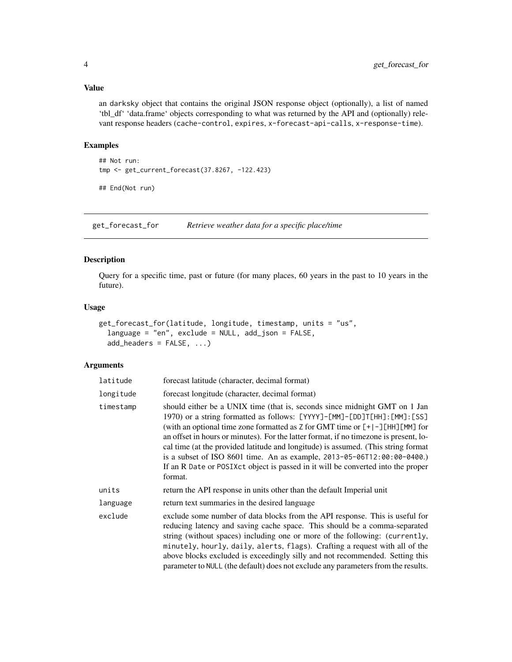#### <span id="page-3-0"></span>Value

an darksky object that contains the original JSON response object (optionally), a list of named 'tbl\_df' 'data.frame' objects corresponding to what was returned by the API and (optionally) relevant response headers (cache-control, expires, x-forecast-api-calls, x-response-time).

#### Examples

```
## Not run:
tmp <- get_current_forecast(37.8267, -122.423)
```
## End(Not run)

get\_forecast\_for *Retrieve weather data for a specific place/time*

#### Description

Query for a specific time, past or future (for many places, 60 years in the past to 10 years in the future).

#### Usage

```
get_forecast_for(latitude, longitude, timestamp, units = "us",
  language = "en", exclude = NULL, add_json = FALSE,
  add\_heads = FALSE, ...)
```
#### Arguments

| latitude  | forecast latitude (character, decimal format)                                                                                                                                                                                                                                                                                                                                                                                                                                                                                                                                                            |
|-----------|----------------------------------------------------------------------------------------------------------------------------------------------------------------------------------------------------------------------------------------------------------------------------------------------------------------------------------------------------------------------------------------------------------------------------------------------------------------------------------------------------------------------------------------------------------------------------------------------------------|
| longitude | forecast longitude (character, decimal format)                                                                                                                                                                                                                                                                                                                                                                                                                                                                                                                                                           |
| timestamp | should either be a UNIX time (that is, seconds since midnight GMT on 1 Jan<br>1970) or a string formatted as follows: [YYYY]-[MM]-[DD]T[HH]: [MM]: [SS]<br>(with an optional time zone formatted as $Z$ for GMT time or $[+]$ – $]$ [HH][MM] for<br>an offset in hours or minutes). For the latter format, if no timezone is present, lo-<br>cal time (at the provided latitude and longitude) is assumed. (This string format<br>is a subset of ISO 8601 time. An as example, 2013-05-06T12:00:00-0400.)<br>If an R Date or POSIXct object is passed in it will be converted into the proper<br>format. |
| units     | return the API response in units other than the default Imperial unit                                                                                                                                                                                                                                                                                                                                                                                                                                                                                                                                    |
| language  | return text summaries in the desired language                                                                                                                                                                                                                                                                                                                                                                                                                                                                                                                                                            |
| exclude   | exclude some number of data blocks from the API response. This is useful for<br>reducing latency and saving cache space. This should be a comma-separated<br>string (without spaces) including one or more of the following: (currently,<br>minutely, hourly, daily, alerts, flags). Crafting a request with all of the<br>above blocks excluded is exceedingly silly and not recommended. Setting this<br>parameter to NULL (the default) does not exclude any parameters from the results.                                                                                                             |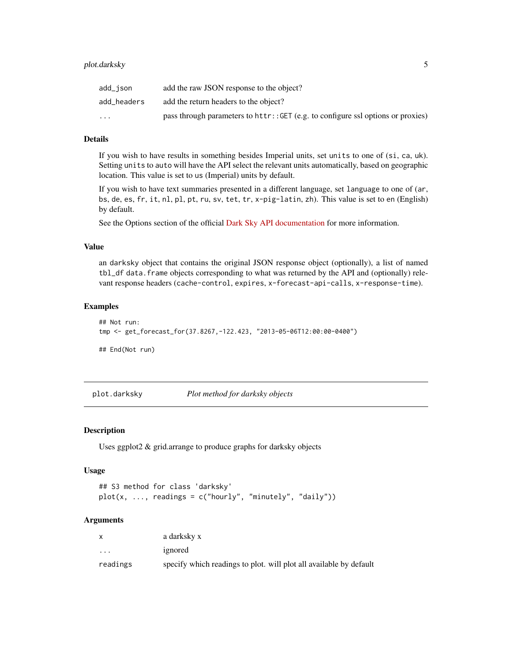<span id="page-4-0"></span>

| add_json                | add the raw JSON response to the object?                                         |
|-------------------------|----------------------------------------------------------------------------------|
| add_headers             | add the return headers to the object?                                            |
| $\cdot$ $\cdot$ $\cdot$ | pass through parameters to httr:: GET (e.g. to configure ssl options or proxies) |

#### Details

If you wish to have results in something besides Imperial units, set units to one of (si, ca, uk). Setting units to auto will have the API select the relevant units automatically, based on geographic location. This value is set to us (Imperial) units by default.

If you wish to have text summaries presented in a different language, set language to one of (ar, bs, de, es, fr, it, nl, pl, pt, ru, sv, tet, tr, x-pig-latin, zh). This value is set to en (English) by default.

See the Options section of the official [Dark Sky API documentation](https://darksky.net/dev/docs) for more information.

#### Value

an darksky object that contains the original JSON response object (optionally), a list of named tbl\_df data.frame objects corresponding to what was returned by the API and (optionally) relevant response headers (cache-control, expires, x-forecast-api-calls, x-response-time).

#### Examples

```
## Not run:
tmp <- get_forecast_for(37.8267,-122.423, "2013-05-06T12:00:00-0400")
## End(Not run)
```
plot.darksky *Plot method for darksky objects*

#### Description

Uses ggplot2 & grid.arrange to produce graphs for darksky objects

#### Usage

```
## S3 method for class 'darksky'
plot(x, ..., readings = c("hourly", "minutely", "daily")
```
#### Arguments

|                         | a darksky x                                                        |
|-------------------------|--------------------------------------------------------------------|
| $\cdot$ $\cdot$ $\cdot$ | ignored                                                            |
| readings                | specify which readings to plot. will plot all available by default |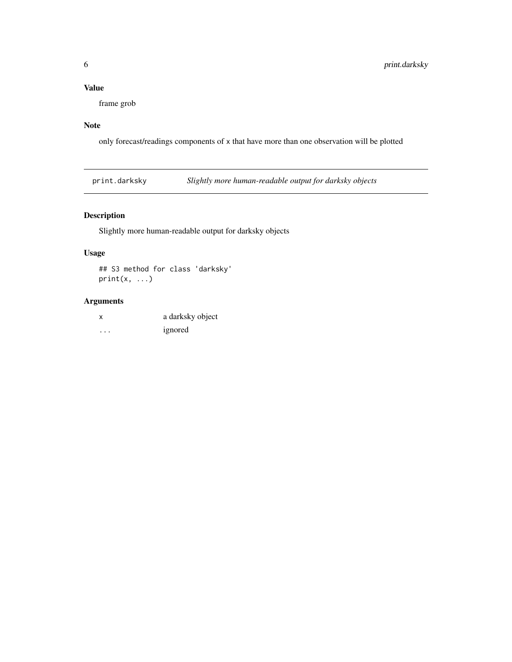#### <span id="page-5-0"></span>Value

frame grob

#### Note

only forecast/readings components of x that have more than one observation will be plotted

print.darksky *Slightly more human-readable output for darksky objects*

## Description

Slightly more human-readable output for darksky objects

#### Usage

```
## S3 method for class 'darksky'
print(x, \ldots)
```
#### Arguments

| X       | a darksky object |
|---------|------------------|
| $\cdot$ | ignored          |